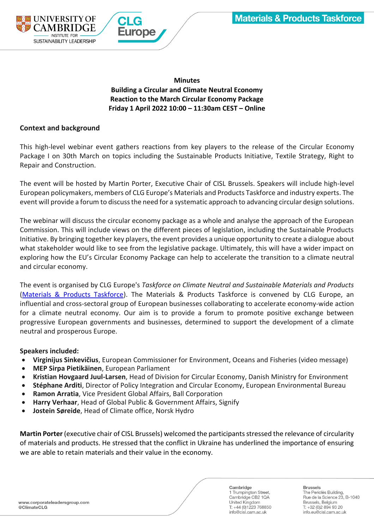

**Minutes Building a Circular and Climate Neutral Economy Reaction to the March Circular Economy Package Friday 1 April 2022 10:00 – 11:30am CEST – Online**

# **Context and background**

This high-level webinar event gathers reactions from key players to the release of the Circular Economy Package I on 30th March on topics including the Sustainable Products Initiative, Textile Strategy, Right to Repair and Construction.

The event will be hosted by Martin Porter, Executive Chair of CISL Brussels. Speakers will include high-level European policymakers, members of CLG Europe's Materials and Products Taskforce and industry experts. The event will provide a forum to discuss the need for a systematic approach to advancing circular design solutions.

The webinar will discuss the circular economy package as a whole and analyse the approach of the European Commission. This will include views on the different pieces of legislation, including the Sustainable Products Initiative. By bringing together key players, the event provides a unique opportunity to create a dialogue about what stakeholder would like to see from the legislative package. Ultimately, this will have a wider impact on exploring how the EU's Circular Economy Package can help to accelerate the transition to a climate neutral and circular economy.

The event is organised by CLG Europe's *Taskforce on Climate Neutral and Sustainable Materials and Products* [\(Materials & Products Taskforce\)](https://linkprotect.cudasvc.com/url?a=https%3a%2f%2fwww.corporateleadersgroup.com%2fcorporate-leaders-group-europe%2ftaskforce-climate-neutral-and-circular-materials-and-products&c=E,1,uX9iQupba0beSQTNNhY-qA_xODFWDEKN4KxKa52bxDsQ_ewrABIXKxUKUBNdc_zwzaOpgWp6MUToZ5ODo1ltY7A5NRCyTXTpUs8DKw6ctqaUhps,&typo=1). The Materials & Products Taskforce is convened by CLG Europe, an influential and cross-sectoral group of European businesses collaborating to accelerate economy-wide action for a climate neutral economy. Our aim is to provide a forum to promote positive exchange between progressive European governments and businesses, determined to support the development of a climate neutral and prosperous Europe.

### **Speakers included:**

- **Virginijus Sinkevičius**, European Commissioner for Environment, Oceans and Fisheries (video message)
- **MEP Sirpa Pietikäinen**, European Parliament
- **Kristian Hovgaard Juul-Larsen**, Head of Division for Circular Economy, Danish Ministry for Environment
- **Stéphane Arditi**, Director of Policy Integration and Circular Economy, European Environmental Bureau
- **Ramon Arratia**, Vice President Global Affairs, Ball Corporation
- **Harry Verhaar**, Head of Global Public & Government Affairs, Signify
- **Jostein Søreide**, Head of Climate office, Norsk Hydro

**Martin Porter** (executive chair of CISL Brussels) welcomed the participants stressed the relevance of circularity of materials and products. He stressed that the conflict in Ukraine has underlined the importance of ensuring we are able to retain materials and their value in the economy.

Cambridge 1 Trumpington Street, Cambridge CB2 1QA United Kinadom T: +44 (0)1223 768850 info@cisl.cam.ac.uk

**Brussels** 

The Periclès Building,<br>Rue de la Science 23, B-1040 Brussels, Belgium T: +32 (0) 2 894 93 20 info.eu@cisl.cam.ac.uk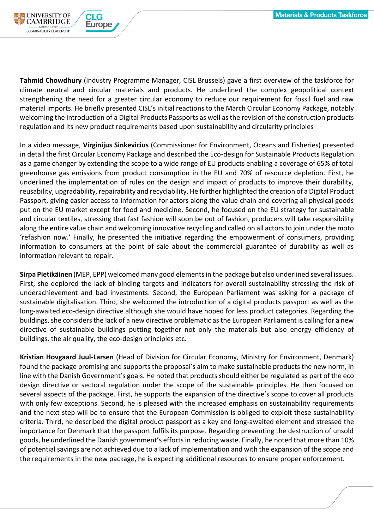

**Tahmid Chowdhury** (Industry Programme Manager, CISL Brussels) gave a first overview of the taskforce for climate neutral and circular materials and products. He underlined the complex geopolitical context strengthening the need for a greater circular economy to reduce our requirement for fossil fuel and raw material imports. He briefly presented CISL's initial reactions to the March Circular Economy Package, notably welcoming the introduction of a Digital Products Passports as well as the revision of the construction products regulation and its new product requirements based upon sustainability and circularity principles

In a video message, **Virginijus Sinkevicius** (Commissioner for Environment, Oceans and Fisheries) presented in detail the first Circular Economy Package and described the Eco-design for Sustainable Products Regulation as a game changer by extending the scope to a wide range of EU products enabling a coverage of 65% of total greenhouse gas emissions from product consumption in the EU and 70% of resource depletion. First, he underlined the implementation of rules on the design and impact of products to improve their durability, reusability, upgradability, repairability and recyclability. He further highlighted the creation of a Digital Product Passport, giving easier access to information for actors along the value chain and covering all physical goods put on the EU market except for food and medicine. Second, he focused on the EU strategy for sustainable and circular textiles, stressing that fast fashion will soon be out of fashion, producers will take responsibility along the entire value chain and welcoming innovative recycling and called on all actors to join under the moto 'refashion now.' Finally, he presented the initiative regarding the empowerment of consumers, providing information to consumers at the point of sale about the commercial guarantee of durability as well as information relevant to repair.

**Sirpa Pietikäinen** (MEP, EPP) welcomed many good elements in the package but also underlined several issues. First, she deplored the lack of binding targets and indicators for overall sustainability stressing the risk of underachievement and bad investments. Second, the European Parliament was asking for a package of sustainable digitalisation. Third, she welcomed the introduction of a digital products passport as well as the long-awaited eco-design directive although she would have hoped for less product categories. Regarding the buildings, she considers the lack of a new directive problematic as the European Parliament is calling for a new directive of sustainable buildings putting together not only the materials but also energy efficiency of buildings, the air quality, the eco-design principles etc.

**Kristian Hovgaard Juul-Larsen** (Head of Division for Circular Economy, Ministry for Environment, Denmark) found the package promising and supports the proposal's aim to make sustainable products the new norm, in line with the Danish Government's goals. He noted that products should either be regulated as part of the eco design directive or sectoral regulation under the scope of the sustainable principles. He then focused on several aspects of the package. First, he supports the expansion of the directive's scope to cover all products with only few exceptions. Second, he is pleased with the increased emphasis on sustainability requirements and the next step will be to ensure that the European Commission is obliged to exploit these sustainability criteria. Third, he described the digital product passport as a key and long-awaited element and stressed the importance for Denmark that the passport fulfils its purpose. Regarding preventing the destruction of unsold goods, he underlined the Danish government's efforts in reducing waste. Finally, he noted that more than 10% of potential savings are not achieved due to a lack of implementation and with the expansion of the scope and the requirements in the new package, he is expecting additional resources to ensure proper enforcement.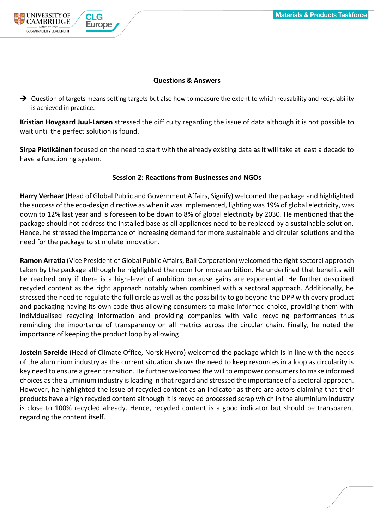

## **Questions & Answers**

➔ Question of targets means setting targets but also how to measure the extent to which reusability and recyclability is achieved in practice.

**Kristian Hovgaard Juul-Larsen** stressed the difficulty regarding the issue of data although it is not possible to wait until the perfect solution is found.

**Sirpa Pietikäinen** focused on the need to start with the already existing data as it will take at least a decade to have a functioning system.

### **Session 2: Reactions from Businesses and NGOs**

**Harry Verhaar** (Head of Global Public and Government Affairs, Signify) welcomed the package and highlighted the success of the eco-design directive as when it was implemented, lighting was 19% of global electricity, was down to 12% last year and is foreseen to be down to 8% of global electricity by 2030. He mentioned that the package should not address the installed base as all appliances need to be replaced by a sustainable solution. Hence, he stressed the importance of increasing demand for more sustainable and circular solutions and the need for the package to stimulate innovation.

**Ramon Arratia** (Vice President of Global Public Affairs, Ball Corporation) welcomed the right sectoral approach taken by the package although he highlighted the room for more ambition. He underlined that benefits will be reached only if there is a high-level of ambition because gains are exponential. He further described recycled content as the right approach notably when combined with a sectoral approach. Additionally, he stressed the need to regulate the full circle as well as the possibility to go beyond the DPP with every product and packaging having its own code thus allowing consumers to make informed choice, providing them with individualised recycling information and providing companies with valid recycling performances thus reminding the importance of transparency on all metrics across the circular chain. Finally, he noted the importance of keeping the product loop by allowing

**Jostein Søreide** (Head of Climate Office, Norsk Hydro) welcomed the package which is in line with the needs of the aluminium industry as the current situation shows the need to keep resources in a loop as circularity is key need to ensure a green transition. He further welcomed the will to empower consumers to make informed choices as the aluminium industry is leading in that regard and stressed the importance of a sectoral approach. However, he highlighted the issue of recycled content as an indicator as there are actors claiming that their products have a high recycled content although it is recycled processed scrap which in the aluminium industry is close to 100% recycled already. Hence, recycled content is a good indicator but should be transparent regarding the content itself.